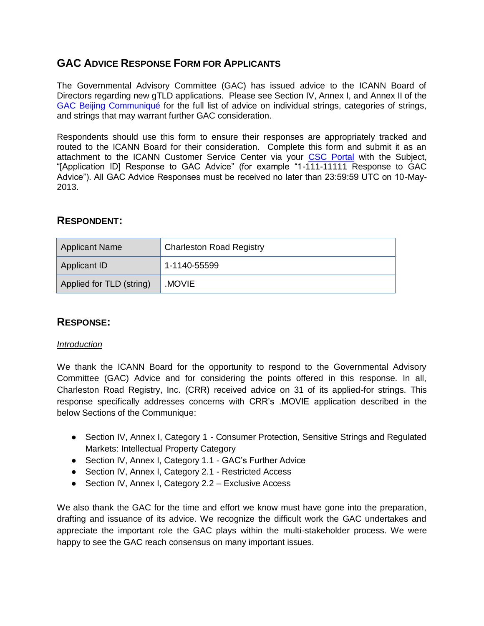# **GAC ADVICE RESPONSE FORM FOR APPLICANTS**

The Governmental Advisory Committee (GAC) has issued advice to the ICANN Board of Directors regarding new gTLD applications. Please see Section IV, Annex I, and Annex II of the [GAC Beijing Communiqué](http://www.icann.org/en/news/correspondence/gac-to-board-18apr13-en.pdf) for the full list of advice on individual strings, categories of strings, and strings that may warrant further GAC consideration.

Respondents should use this form to ensure their responses are appropriately tracked and routed to the ICANN Board for their consideration. Complete this form and submit it as an attachment to the ICANN Customer Service Center via your [CSC Portal](https://myicann.secure.force.com/) with the Subject, "[Application ID] Response to GAC Advice" (for example "1-111-11111 Response to GAC Advice"). All GAC Advice Responses must be received no later than 23:59:59 UTC on 10-May-2013.

## **RESPONDENT:**

| <b>Applicant Name</b>    | <b>Charleston Road Registry</b> |  |
|--------------------------|---------------------------------|--|
| Applicant ID             | 1-1140-55599                    |  |
| Applied for TLD (string) | .MOVIE                          |  |

## **RESPONSE:**

#### *Introduction*

We thank the ICANN Board for the opportunity to respond to the Governmental Advisory Committee (GAC) Advice and for considering the points offered in this response. In all, Charleston Road Registry, Inc. (CRR) received advice on 31 of its applied-for strings. This response specifically addresses concerns with CRR's .MOVIE application described in the below Sections of the Communique:

- Section IV, Annex I, Category 1 Consumer Protection, Sensitive Strings and Regulated Markets: Intellectual Property Category
- Section IV, Annex I, Category 1.1 GAC's Further Advice
- Section IV, Annex I, Category 2.1 Restricted Access
- Section IV, Annex I, Category 2.2 Exclusive Access

We also thank the GAC for the time and effort we know must have gone into the preparation, drafting and issuance of its advice. We recognize the difficult work the GAC undertakes and appreciate the important role the GAC plays within the multi-stakeholder process. We were happy to see the GAC reach consensus on many important issues.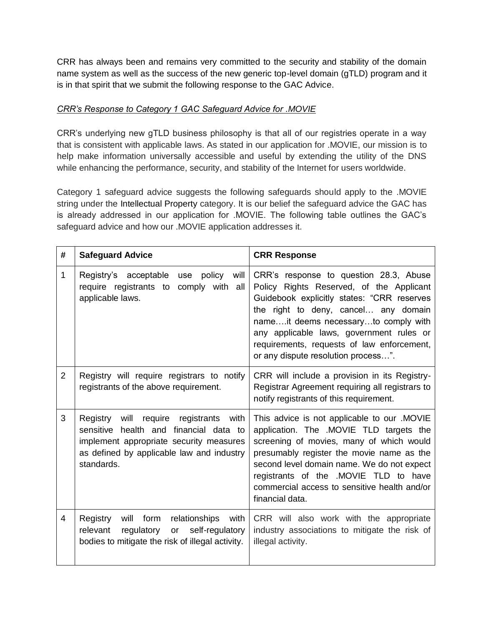CRR has always been and remains very committed to the security and stability of the domain name system as well as the success of the new generic top-level domain (gTLD) program and it is in that spirit that we submit the following response to the GAC Advice.

### *CRR's Response to Category 1 GAC Safeguard Advice for .MOVIE*

CRR's underlying new gTLD business philosophy is that all of our registries operate in a way that is consistent with applicable laws. As stated in our application for .MOVIE, our mission is to help make information universally accessible and useful by extending the utility of the DNS while enhancing the performance, security, and stability of the Internet for users worldwide.

Category 1 safeguard advice suggests the following safeguards should apply to the .MOVIE string under the Intellectual Property category. It is our belief the safeguard advice the GAC has is already addressed in our application for .MOVIE. The following table outlines the GAC's safeguard advice and how our .MOVIE application addresses it.

| #              | <b>Safeguard Advice</b>                                                                                                                                                                         | <b>CRR Response</b>                                                                                                                                                                                                                                                                                                                               |
|----------------|-------------------------------------------------------------------------------------------------------------------------------------------------------------------------------------------------|---------------------------------------------------------------------------------------------------------------------------------------------------------------------------------------------------------------------------------------------------------------------------------------------------------------------------------------------------|
| 1              | Registry's acceptable<br>policy<br>will<br>use<br>require registrants to comply with all<br>applicable laws.                                                                                    | CRR's response to question 28.3, Abuse<br>Policy Rights Reserved, of the Applicant<br>Guidebook explicitly states: "CRR reserves<br>the right to deny, cancel any domain<br>nameit deems necessaryto comply with<br>any applicable laws, government rules or<br>requirements, requests of law enforcement,<br>or any dispute resolution process". |
| $\overline{2}$ | Registry will require registrars to notify<br>registrants of the above requirement.                                                                                                             | CRR will include a provision in its Registry-<br>Registrar Agreement requiring all registrars to<br>notify registrants of this requirement.                                                                                                                                                                                                       |
| 3              | Registry<br>will require<br>registrants<br>with<br>sensitive health and financial data to<br>implement appropriate security measures<br>as defined by applicable law and industry<br>standards. | This advice is not applicable to our .MOVIE<br>application. The .MOVIE TLD targets the<br>screening of movies, many of which would<br>presumably register the movie name as the<br>second level domain name. We do not expect<br>registrants of the .MOVIE TLD to have<br>commercial access to sensitive health and/or<br>financial data.         |
| 4              | relationships<br>Registry<br>will form<br>with<br>self-regulatory<br>relevant<br>regulatory<br>or<br>bodies to mitigate the risk of illegal activity.                                           | CRR will also work with the appropriate<br>industry associations to mitigate the risk of<br>illegal activity.                                                                                                                                                                                                                                     |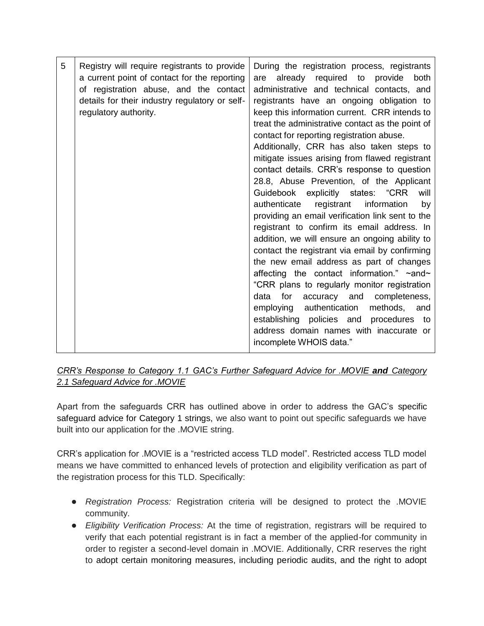| 5 | Registry will require registrants to provide<br>a current point of contact for the reporting<br>of registration abuse, and the contact<br>details for their industry regulatory or self-<br>regulatory authority. | During the registration process, registrants<br>already required to<br>provide<br>both<br>are<br>administrative and technical contacts, and<br>registrants have an ongoing obligation to<br>keep this information current. CRR intends to<br>treat the administrative contact as the point of<br>contact for reporting registration abuse.<br>Additionally, CRR has also taken steps to<br>mitigate issues arising from flawed registrant<br>contact details. CRR's response to question<br>28.8, Abuse Prevention, of the Applicant<br>Guidebook explicitly states: "CRR<br>will<br>registrant<br>information<br>authenticate<br>by<br>providing an email verification link sent to the<br>registrant to confirm its email address. In<br>addition, we will ensure an ongoing ability to<br>contact the registrant via email by confirming<br>the new email address as part of changes<br>affecting the contact information." ~and~<br>"CRR plans to regularly monitor registration<br>accuracy and<br>data<br>for<br>completeness,<br>methods, and<br>employing authentication<br>establishing policies and procedures to<br>address domain names with inaccurate or<br>incomplete WHOIS data." |
|---|-------------------------------------------------------------------------------------------------------------------------------------------------------------------------------------------------------------------|---------------------------------------------------------------------------------------------------------------------------------------------------------------------------------------------------------------------------------------------------------------------------------------------------------------------------------------------------------------------------------------------------------------------------------------------------------------------------------------------------------------------------------------------------------------------------------------------------------------------------------------------------------------------------------------------------------------------------------------------------------------------------------------------------------------------------------------------------------------------------------------------------------------------------------------------------------------------------------------------------------------------------------------------------------------------------------------------------------------------------------------------------------------------------------------------------|
|---|-------------------------------------------------------------------------------------------------------------------------------------------------------------------------------------------------------------------|---------------------------------------------------------------------------------------------------------------------------------------------------------------------------------------------------------------------------------------------------------------------------------------------------------------------------------------------------------------------------------------------------------------------------------------------------------------------------------------------------------------------------------------------------------------------------------------------------------------------------------------------------------------------------------------------------------------------------------------------------------------------------------------------------------------------------------------------------------------------------------------------------------------------------------------------------------------------------------------------------------------------------------------------------------------------------------------------------------------------------------------------------------------------------------------------------|

### *CRR's Response to Category 1.1 GAC's Further Safeguard Advice for .MOVIE and Category 2.1 Safeguard Advice for .MOVIE*

Apart from the safeguards CRR has outlined above in order to address the GAC's specific safeguard advice for Category 1 strings, we also want to point out specific safeguards we have built into our application for the .MOVIE string.

CRR's application for .MOVIE is a "restricted access TLD model". Restricted access TLD model means we have committed to enhanced levels of protection and eligibility verification as part of the registration process for this TLD. Specifically:

- *Registration Process:* Registration criteria will be designed to protect the .MOVIE community.
- *Eligibility Verification Process:* At the time of registration, registrars will be required to verify that each potential registrant is in fact a member of the applied-for community in order to register a second-level domain in .MOVIE. Additionally, CRR reserves the right to adopt certain monitoring measures, including periodic audits, and the right to adopt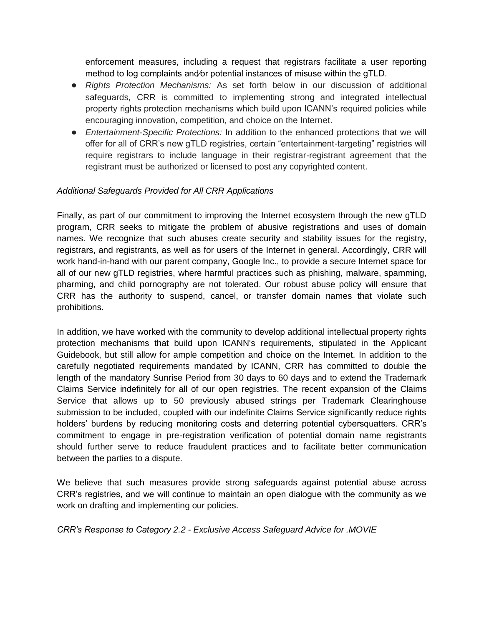enforcement measures, including a request that registrars facilitate a user reporting method to log complaints and⁄or potential instances of misuse within the gTLD.

- *Rights Protection Mechanisms:* As set forth below in our discussion of additional safeguards, CRR is committed to implementing strong and integrated intellectual property rights protection mechanisms which build upon ICANN's required policies while encouraging innovation, competition, and choice on the Internet.
- *Entertainment-Specific Protections:* In addition to the enhanced protections that we will offer for all of CRR's new gTLD registries, certain "entertainment-targeting" registries will require registrars to include language in their registrar-registrant agreement that the registrant must be authorized or licensed to post any copyrighted content.

### *Additional Safeguards Provided for All CRR Applications*

Finally, as part of our commitment to improving the Internet ecosystem through the new gTLD program, CRR seeks to mitigate the problem of abusive registrations and uses of domain names. We recognize that such abuses create security and stability issues for the registry, registrars, and registrants, as well as for users of the Internet in general. Accordingly, CRR will work hand-in-hand with our parent company, Google Inc., to provide a secure Internet space for all of our new gTLD registries, where harmful practices such as phishing, malware, spamming, pharming, and child pornography are not tolerated. Our robust abuse policy will ensure that CRR has the authority to suspend, cancel, or transfer domain names that violate such prohibitions.

In addition, we have worked with the community to develop additional intellectual property rights protection mechanisms that build upon ICANN's requirements, stipulated in the Applicant Guidebook, but still allow for ample competition and choice on the Internet. In addition to the carefully negotiated requirements mandated by ICANN, CRR has committed to double the length of the mandatory Sunrise Period from 30 days to 60 days and to extend the Trademark Claims Service indefinitely for all of our open registries. The recent expansion of the Claims Service that allows up to 50 previously abused strings per Trademark Clearinghouse submission to be included, coupled with our indefinite Claims Service significantly reduce rights holders' burdens by reducing monitoring costs and deterring potential cybersquatters. CRR's commitment to engage in pre-registration verification of potential domain name registrants should further serve to reduce fraudulent practices and to facilitate better communication between the parties to a dispute.

We believe that such measures provide strong safeguards against potential abuse across CRR's registries, and we will continue to maintain an open dialogue with the community as we work on drafting and implementing our policies.

#### *CRR's Response to Category 2.2 - Exclusive Access Safeguard Advice for .MOVIE*